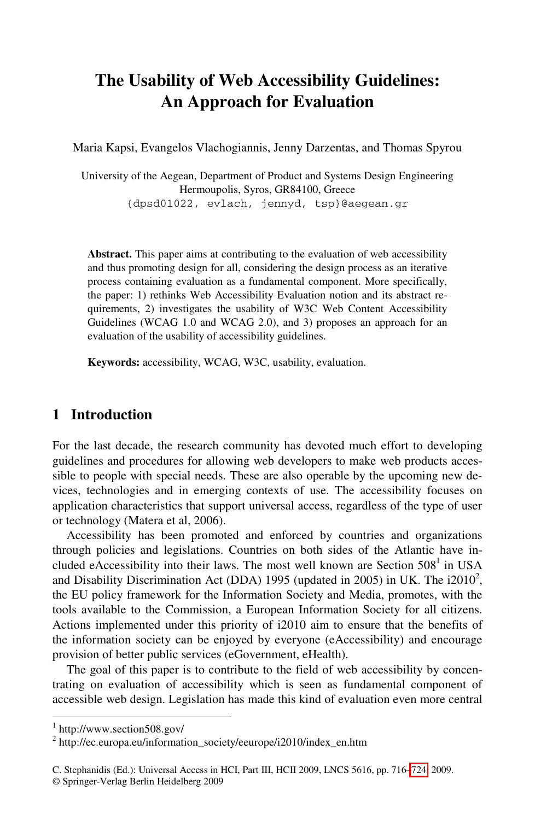# **The Usability of Web Accessibility Guidelines: An Approach for Evaluation**

Maria Kapsi, Evangelos Vlachogiannis, Jenny Darzentas, and Thomas Spyrou

University of the Aegean, Department of Product and Systems Design Engineering Hermoupolis, Syros, GR84100, Greece {dpsd01022, evlach, jennyd, tsp}@aegean.gr

**Abstract.** This paper aims at contributing to the evaluation of web accessibility and thus promoting design for all, considering the design process as an iterative process containing evaluation as a fundamental component. More specifically, the paper: 1) rethinks Web Accessibility Evaluation notion and its abstract requirements, 2) investigates the usability of W3C Web Content Accessibility Guidelines (WCAG 1.0 and WCAG 2.0), and 3) proposes an approach for an evaluation of the usability of accessibility guidelines.

**Keywords:** accessibility, WCAG, W3C, usability, evaluation.

### **1 Introduction**

For the last decade, the research community has devoted much effort to developing guidelines and procedures for allowing web developers to make web products accessible to people with special needs. These are also operable by the upcoming new devices, technologies and in emerging contexts of use. The accessibility focuses on application characteristics that support universal access, regardless of the type of user or technology (Matera et al, 2006).

Accessibility has been promoted and enforced by countries and organizations through policies and legislations. Countries on both sides of the Atlantic have included eAccessibility into their laws. The most well known are Section  $508^1$  in USA and Disability Discrimination Act (DDA) 1995 (updated in 2005) in UK. The i2010<sup>2</sup>, the EU policy framework for the Information Society and Media, promotes, with the tools available to the Commission, a European Information Society for all citizens. Actions implemented under this priority of i2010 aim to ensure that the benefits of the information society can be enjoyed by everyone (eAccessibility) and encourage provision of better public services (eGovernment, eHealth).

The goal of this paper is to contribute to the field of web accessibility by concentrating on evaluation of accessibility which is seen as fundamental component of accessible web design. Legislation has made this kind of evaluation even more central

-

<sup>1</sup> http://www.section508.gov/

<sup>&</sup>lt;sup>2</sup> http://ec.europa.eu/information\_society/eeurope/i2010/index\_en.htm

C. Stephanidis (Ed.): Universal Access in HCI, Part III, HCII 2009, LNCS 5616, pp. 716[–724,](#page-8-0) 2009. © Springer-Verlag Berlin Heidelberg 2009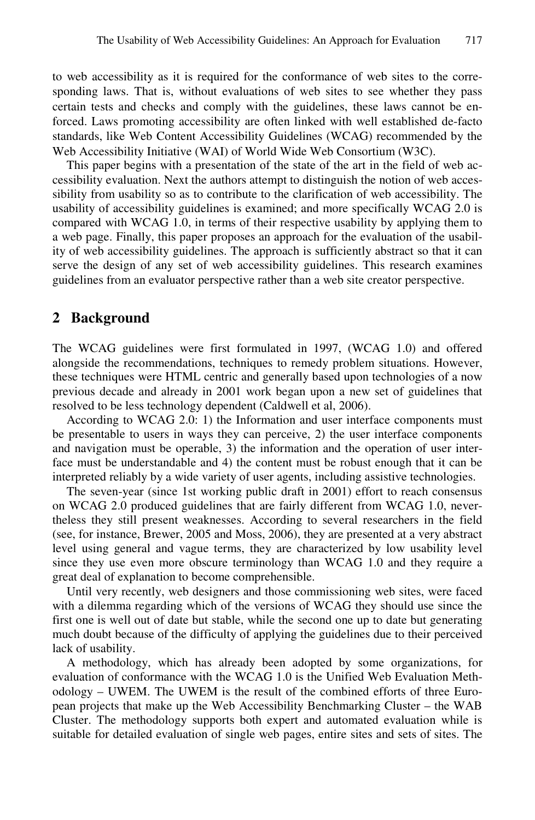to web accessibility as it is required for the conformance of web sites to the corresponding laws. That is, without evaluations of web sites to see whether they pass certain tests and checks and comply with the guidelines, these laws cannot be enforced. Laws promoting accessibility are often linked with well established de-facto standards, like Web Content Accessibility Guidelines (WCAG) recommended by the Web Accessibility Initiative (WAI) of World Wide Web Consortium (W3C).

This paper begins with a presentation of the state of the art in the field of web accessibility evaluation. Next the authors attempt to distinguish the notion of web accessibility from usability so as to contribute to the clarification of web accessibility. The usability of accessibility guidelines is examined; and more specifically WCAG 2.0 is compared with WCAG 1.0, in terms of their respective usability by applying them to a web page. Finally, this paper proposes an approach for the evaluation of the usability of web accessibility guidelines. The approach is sufficiently abstract so that it can serve the design of any set of web accessibility guidelines. This research examines guidelines from an evaluator perspective rather than a web site creator perspective.

#### **2 Background**

The WCAG guidelines were first formulated in 1997, (WCAG 1.0) and offered alongside the recommendations, techniques to remedy problem situations. However, these techniques were HTML centric and generally based upon technologies of a now previous decade and already in 2001 work began upon a new set of guidelines that resolved to be less technology dependent (Caldwell et al, 2006).

According to WCAG 2.0: 1) the Information and user interface components must be presentable to users in ways they can perceive, 2) the user interface components and navigation must be operable, 3) the information and the operation of user interface must be understandable and 4) the content must be robust enough that it can be interpreted reliably by a wide variety of user agents, including assistive technologies.

The seven-year (since 1st working public draft in 2001) effort to reach consensus on WCAG 2.0 produced guidelines that are fairly different from WCAG 1.0, nevertheless they still present weaknesses. According to several researchers in the field (see, for instance, Brewer, 2005 and Moss, 2006), they are presented at a very abstract level using general and vague terms, they are characterized by low usability level since they use even more obscure terminology than WCAG 1.0 and they require a great deal of explanation to become comprehensible.

Until very recently, web designers and those commissioning web sites, were faced with a dilemma regarding which of the versions of WCAG they should use since the first one is well out of date but stable, while the second one up to date but generating much doubt because of the difficulty of applying the guidelines due to their perceived lack of usability.

A methodology, which has already been adopted by some organizations, for evaluation of conformance with the WCAG 1.0 is the Unified Web Evaluation Methodology – UWEM. The UWEM is the result of the combined efforts of three European projects that make up the Web Accessibility Benchmarking Cluster – the WAB Cluster. The methodology supports both expert and automated evaluation while is suitable for detailed evaluation of single web pages, entire sites and sets of sites. The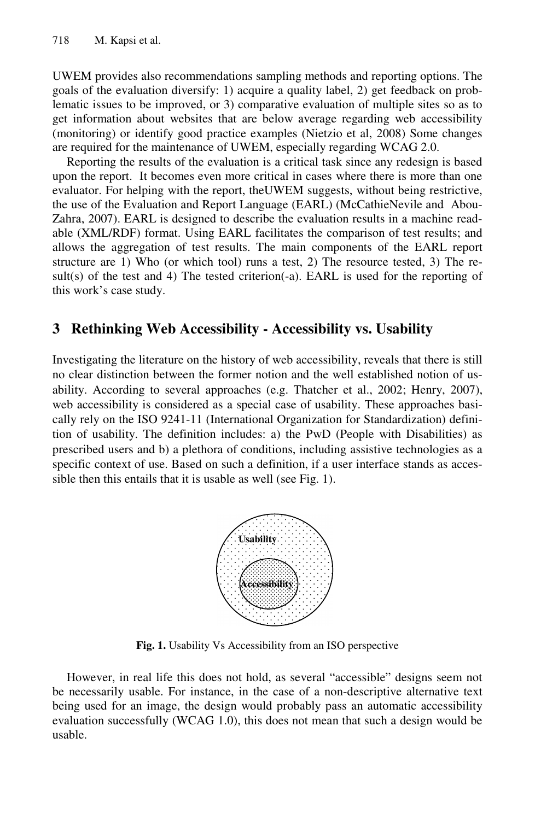UWEM provides also recommendations sampling methods and reporting options. The goals of the evaluation diversify: 1) acquire a quality label, 2) get feedback on problematic issues to be improved, or 3) comparative evaluation of multiple sites so as to get information about websites that are below average regarding web accessibility (monitoring) or identify good practice examples (Nietzio et al, 2008) Some changes are required for the maintenance of UWEM, especially regarding WCAG 2.0.

Reporting the results of the evaluation is a critical task since any redesign is based upon the report. It becomes even more critical in cases where there is more than one evaluator. For helping with the report, theUWEM suggests, without being restrictive, the use of the Evaluation and Report Language (EARL) (McCathieNevile and Abou-Zahra, 2007). EARL is designed to describe the evaluation results in a machine readable (XML/RDF) format. Using EARL facilitates the comparison of test results; and allows the aggregation of test results. The main components of the EARL report structure are 1) Who (or which tool) runs a test, 2) The resource tested, 3) The result(s) of the test and 4) The tested criterion(-a). EARL is used for the reporting of this work's case study.

#### **3 Rethinking Web Accessibility - Accessibility vs. Usability**

Investigating the literature on the history of web accessibility, reveals that there is still no clear distinction between the former notion and the well established notion of usability. According to several approaches (e.g. Thatcher et al., 2002; Henry, 2007), web accessibility is considered as a special case of usability. These approaches basically rely on the ISO 9241-11 (International Organization for Standardization) definition of usability. The definition includes: a) the PwD (People with Disabilities) as prescribed users and b) a plethora of conditions, including assistive technologies as a specific context of use. Based on such a definition, if a user interface stands as accessible then this entails that it is usable as well (see Fig. 1).



**Fig. 1.** Usability Vs Accessibility from an ISO perspective

However, in real life this does not hold, as several "accessible" designs seem not be necessarily usable. For instance, in the case of a non-descriptive alternative text being used for an image, the design would probably pass an automatic accessibility evaluation successfully (WCAG 1.0), this does not mean that such a design would be usable.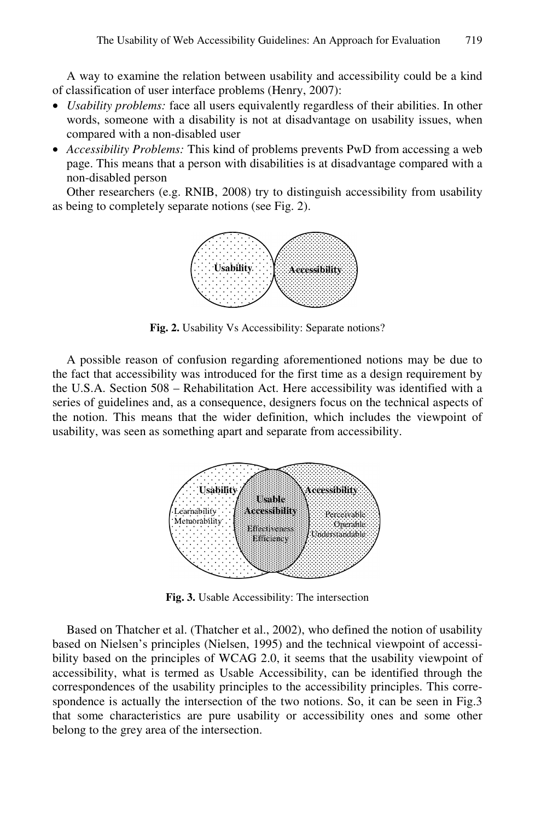A way to examine the relation between usability and accessibility could be a kind of classification of user interface problems (Henry, 2007):

- *Usability problems:* face all users equivalently regardless of their abilities. In other words, someone with a disability is not at disadvantage on usability issues, when compared with a non-disabled user
- *Accessibility Problems:* This kind of problems prevents PwD from accessing a web page. This means that a person with disabilities is at disadvantage compared with a non-disabled person

Other researchers (e.g. RNIB, 2008) try to distinguish accessibility from usability as being to completely separate notions (see Fig. 2).



**Fig. 2.** Usability Vs Accessibility: Separate notions?

A possible reason of confusion regarding aforementioned notions may be due to the fact that accessibility was introduced for the first time as a design requirement by the U.S.A. Section 508 – Rehabilitation Act. Here accessibility was identified with a series of guidelines and, as a consequence, designers focus on the technical aspects of the notion. This means that the wider definition, which includes the viewpoint of usability, was seen as something apart and separate from accessibility.



**Fig. 3.** Usable Accessibility: The intersection

Based on Thatcher et al. (Thatcher et al., 2002), who defined the notion of usability based on Nielsen's principles (Nielsen, 1995) and the technical viewpoint of accessibility based on the principles of WCAG 2.0, it seems that the usability viewpoint of accessibility, what is termed as Usable Accessibility, can be identified through the correspondences of the usability principles to the accessibility principles. This correspondence is actually the intersection of the two notions. So, it can be seen in Fig.3 that some characteristics are pure usability or accessibility ones and some other belong to the grey area of the intersection.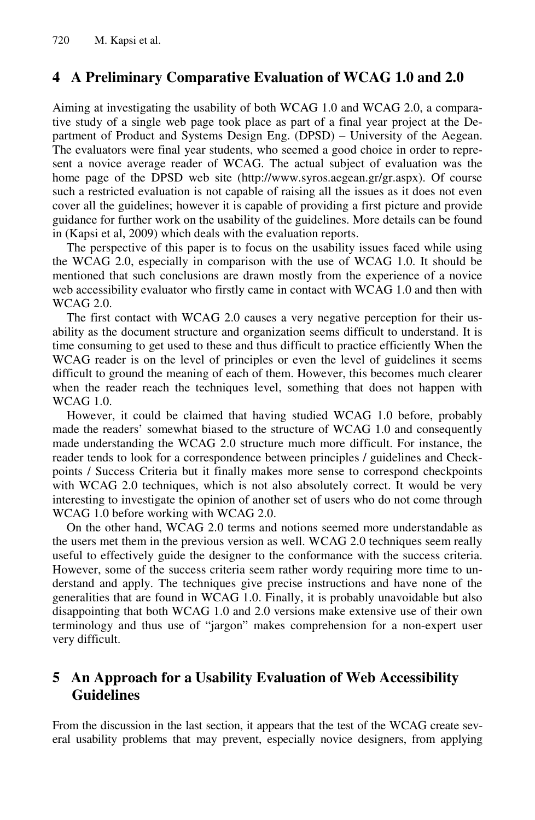## **4 A Preliminary Comparative Evaluation of WCAG 1.0 and 2.0**

Aiming at investigating the usability of both WCAG 1.0 and WCAG 2.0, a comparative study of a single web page took place as part of a final year project at the Department of Product and Systems Design Eng. (DPSD) – University of the Aegean. The evaluators were final year students, who seemed a good choice in order to represent a novice average reader of WCAG. The actual subject of evaluation was the home page of the DPSD web site (http://www.syros.aegean.gr/gr.aspx). Of course such a restricted evaluation is not capable of raising all the issues as it does not even cover all the guidelines; however it is capable of providing a first picture and provide guidance for further work on the usability of the guidelines. More details can be found in (Kapsi et al, 2009) which deals with the evaluation reports.

The perspective of this paper is to focus on the usability issues faced while using the WCAG 2.0, especially in comparison with the use of WCAG 1.0. It should be mentioned that such conclusions are drawn mostly from the experience of a novice web accessibility evaluator who firstly came in contact with WCAG 1.0 and then with WCAG 2.0.

The first contact with WCAG 2.0 causes a very negative perception for their usability as the document structure and organization seems difficult to understand. It is time consuming to get used to these and thus difficult to practice efficiently When the WCAG reader is on the level of principles or even the level of guidelines it seems difficult to ground the meaning of each of them. However, this becomes much clearer when the reader reach the techniques level, something that does not happen with WCAG 1.0.

However, it could be claimed that having studied WCAG 1.0 before, probably made the readers' somewhat biased to the structure of WCAG 1.0 and consequently made understanding the WCAG 2.0 structure much more difficult. For instance, the reader tends to look for a correspondence between principles / guidelines and Checkpoints / Success Criteria but it finally makes more sense to correspond checkpoints with WCAG 2.0 techniques, which is not also absolutely correct. It would be very interesting to investigate the opinion of another set of users who do not come through WCAG 1.0 before working with WCAG 2.0.

On the other hand, WCAG 2.0 terms and notions seemed more understandable as the users met them in the previous version as well. WCAG 2.0 techniques seem really useful to effectively guide the designer to the conformance with the success criteria. However, some of the success criteria seem rather wordy requiring more time to understand and apply. The techniques give precise instructions and have none of the generalities that are found in WCAG 1.0. Finally, it is probably unavoidable but also disappointing that both WCAG 1.0 and 2.0 versions make extensive use of their own terminology and thus use of "jargon" makes comprehension for a non-expert user very difficult.

### **5 An Approach for a Usability Evaluation of Web Accessibility Guidelines**

From the discussion in the last section, it appears that the test of the WCAG create several usability problems that may prevent, especially novice designers, from applying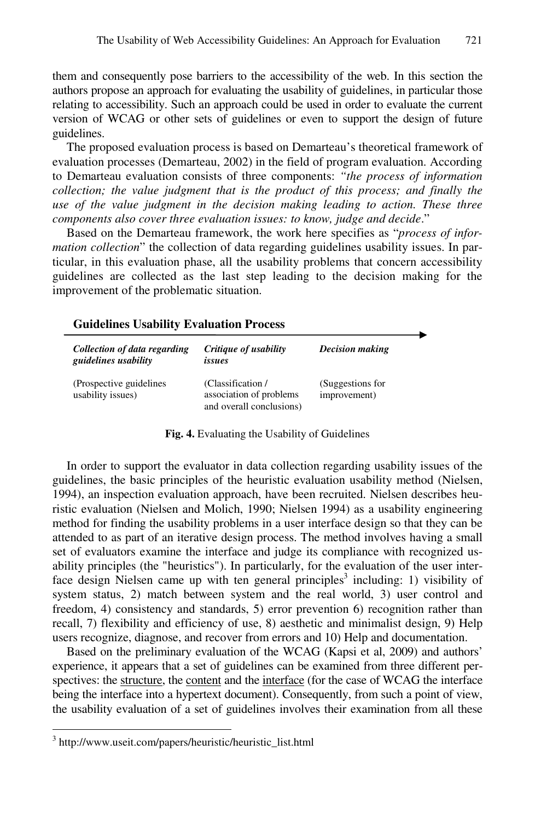them and consequently pose barriers to the accessibility of the web. In this section the authors propose an approach for evaluating the usability of guidelines, in particular those relating to accessibility. Such an approach could be used in order to evaluate the current version of WCAG or other sets of guidelines or even to support the design of future guidelines.

The proposed evaluation process is based on Demarteau's theoretical framework of evaluation processes (Demarteau, 2002) in the field of program evaluation. According to Demarteau evaluation consists of three components: *"the process of information collection; the value judgment that is the product of this process; and finally the use of the value judgment in the decision making leading to action. These three components also cover three evaluation issues: to know, judge and decide*."

Based on the Demarteau framework, the work here specifies as "*process of information collection*" the collection of data regarding guidelines usability issues. In particular, in this evaluation phase, all the usability problems that concern accessibility guidelines are collected as the last step leading to the decision making for the improvement of the problematic situation.

#### **Guidelines Usability Evaluation Process**

| Collection of data regarding<br>guidelines usability | Critique of usability<br>issues                                          | <b>Decision making</b>           |
|------------------------------------------------------|--------------------------------------------------------------------------|----------------------------------|
| (Prospective guidelines)<br>usability issues)        | (Classification /<br>association of problems<br>and overall conclusions) | (Suggestions for<br>improvement) |

**Fig. 4.** Evaluating the Usability of Guidelines

In order to support the evaluator in data collection regarding usability issues of the guidelines, the basic principles of the heuristic evaluation usability method (Nielsen, 1994), an inspection evaluation approach, have been recruited. Nielsen describes heuristic evaluation (Nielsen and Molich, 1990; Nielsen 1994) as a usability engineering method for finding the usability problems in a user interface design so that they can be attended to as part of an iterative design process. The method involves having a small set of evaluators examine the interface and judge its compliance with recognized usability principles (the "heuristics"). In particularly, for the evaluation of the user interface design Nielsen came up with ten general principles<sup>3</sup> including: 1) visibility of system status, 2) match between system and the real world, 3) user control and freedom, 4) consistency and standards, 5) error prevention 6) recognition rather than recall, 7) flexibility and efficiency of use, 8) aesthetic and minimalist design, 9) Help users recognize, diagnose, and recover from errors and 10) Help and documentation.

Based on the preliminary evaluation of the WCAG (Kapsi et al, 2009) and authors' experience, it appears that a set of guidelines can be examined from three different perspectives: the structure, the content and the interface (for the case of WCAG the interface being the interface into a hypertext document). Consequently, from such a point of view, the usability evaluation of a set of guidelines involves their examination from all these

 3 http://www.useit.com/papers/heuristic/heuristic\_list.html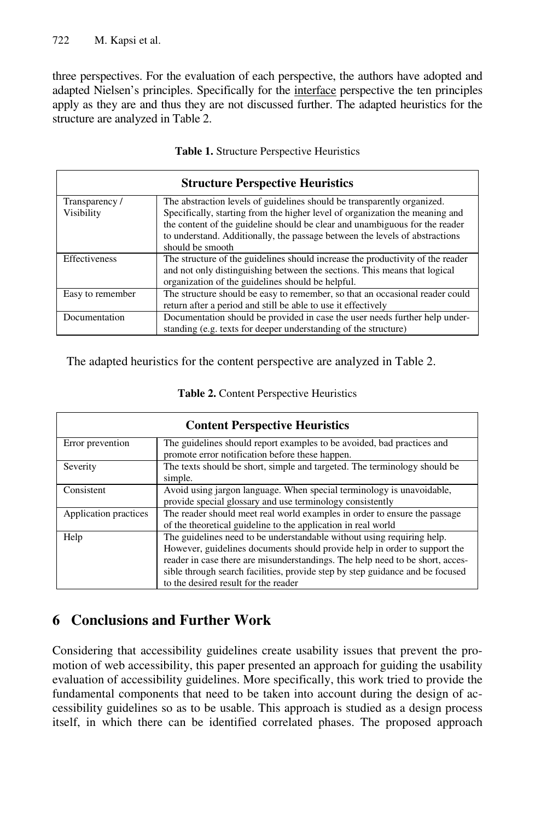three perspectives. For the evaluation of each perspective, the authors have adopted and adapted Nielsen's principles. Specifically for the interface perspective the ten principles apply as they are and thus they are not discussed further. The adapted heuristics for the structure are analyzed in Table 2.

| <b>Structure Perspective Heuristics</b> |                                                                                                                                                                                                                                                                                                                                           |  |
|-----------------------------------------|-------------------------------------------------------------------------------------------------------------------------------------------------------------------------------------------------------------------------------------------------------------------------------------------------------------------------------------------|--|
| Transparency/<br>Visibility             | The abstraction levels of guidelines should be transparently organized.<br>Specifically, starting from the higher level of organization the meaning and<br>the content of the guideline should be clear and unambiguous for the reader<br>to understand. Additionally, the passage between the levels of abstractions<br>should be smooth |  |
| <b>Effectiveness</b>                    | The structure of the guidelines should increase the productivity of the reader<br>and not only distinguishing between the sections. This means that logical<br>organization of the guidelines should be helpful.                                                                                                                          |  |
| Easy to remember                        | The structure should be easy to remember, so that an occasional reader could<br>return after a period and still be able to use it effectively                                                                                                                                                                                             |  |
| Documentation                           | Documentation should be provided in case the user needs further help under-<br>standing (e.g. texts for deeper understanding of the structure)                                                                                                                                                                                            |  |

**Table 1.** Structure Perspective Heuristics

The adapted heuristics for the content perspective are analyzed in Table 2.

| <b>Content Perspective Heuristics</b> |                                                                                                                                                                                                                                                                                                                                                               |  |
|---------------------------------------|---------------------------------------------------------------------------------------------------------------------------------------------------------------------------------------------------------------------------------------------------------------------------------------------------------------------------------------------------------------|--|
| Error prevention                      | The guidelines should report examples to be avoided, bad practices and<br>promote error notification before these happen.                                                                                                                                                                                                                                     |  |
| Severity                              | The texts should be short, simple and targeted. The terminology should be<br>simple.                                                                                                                                                                                                                                                                          |  |
| Consistent                            | Avoid using jargon language. When special terminology is unavoidable,<br>provide special glossary and use terminology consistently                                                                                                                                                                                                                            |  |
| Application practices                 | The reader should meet real world examples in order to ensure the passage<br>of the theoretical guideline to the application in real world                                                                                                                                                                                                                    |  |
| Help                                  | The guidelines need to be understandable without using requiring help.<br>However, guidelines documents should provide help in order to support the<br>reader in case there are misunderstandings. The help need to be short, acces-<br>sible through search facilities, provide step by step guidance and be focused<br>to the desired result for the reader |  |

#### **Table 2.** Content Perspective Heuristics

# **6 Conclusions and Further Work**

Considering that accessibility guidelines create usability issues that prevent the promotion of web accessibility, this paper presented an approach for guiding the usability evaluation of accessibility guidelines. More specifically, this work tried to provide the fundamental components that need to be taken into account during the design of accessibility guidelines so as to be usable. This approach is studied as a design process itself, in which there can be identified correlated phases. The proposed approach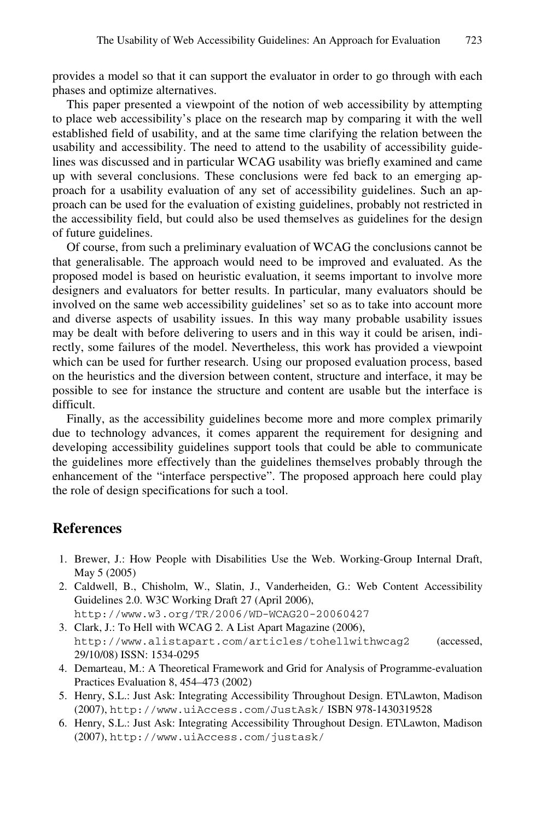provides a model so that it can support the evaluator in order to go through with each phases and optimize alternatives.

This paper presented a viewpoint of the notion of web accessibility by attempting to place web accessibility's place on the research map by comparing it with the well established field of usability, and at the same time clarifying the relation between the usability and accessibility. The need to attend to the usability of accessibility guidelines was discussed and in particular WCAG usability was briefly examined and came up with several conclusions. These conclusions were fed back to an emerging approach for a usability evaluation of any set of accessibility guidelines. Such an approach can be used for the evaluation of existing guidelines, probably not restricted in the accessibility field, but could also be used themselves as guidelines for the design of future guidelines.

Of course, from such a preliminary evaluation of WCAG the conclusions cannot be that generalisable. The approach would need to be improved and evaluated. As the proposed model is based on heuristic evaluation, it seems important to involve more designers and evaluators for better results. In particular, many evaluators should be involved on the same web accessibility guidelines' set so as to take into account more and diverse aspects of usability issues. In this way many probable usability issues may be dealt with before delivering to users and in this way it could be arisen, indirectly, some failures of the model. Nevertheless, this work has provided a viewpoint which can be used for further research. Using our proposed evaluation process, based on the heuristics and the diversion between content, structure and interface, it may be possible to see for instance the structure and content are usable but the interface is difficult.

Finally, as the accessibility guidelines become more and more complex primarily due to technology advances, it comes apparent the requirement for designing and developing accessibility guidelines support tools that could be able to communicate the guidelines more effectively than the guidelines themselves probably through the enhancement of the "interface perspective". The proposed approach here could play the role of design specifications for such a tool.

#### **References**

- 1. Brewer, J.: How People with Disabilities Use the Web. Working-Group Internal Draft, May 5 (2005)
- 2. Caldwell, B., Chisholm, W., Slatin, J., Vanderheiden, G.: Web Content Accessibility Guidelines 2.0. W3C Working Draft 27 (April 2006), http://www.w3.org/TR/2006/WD-WCAG20-20060427
- 3. Clark, J.: To Hell with WCAG 2. A List Apart Magazine (2006), http://www.alistapart.com/articles/tohellwithwcag2 (accessed, 29/10/08) ISSN: 1534-0295
- 4. Demarteau, M.: A Theoretical Framework and Grid for Analysis of Programme-evaluation Practices Evaluation 8, 454–473 (2002)
- 5. Henry, S.L.: Just Ask: Integrating Accessibility Throughout Design. ET\Lawton, Madison (2007), http://www.uiAccess.com/JustAsk/ ISBN 978-1430319528
- 6. Henry, S.L.: Just Ask: Integrating Accessibility Throughout Design. ET\Lawton, Madison (2007), http://www.uiAccess.com/justask/